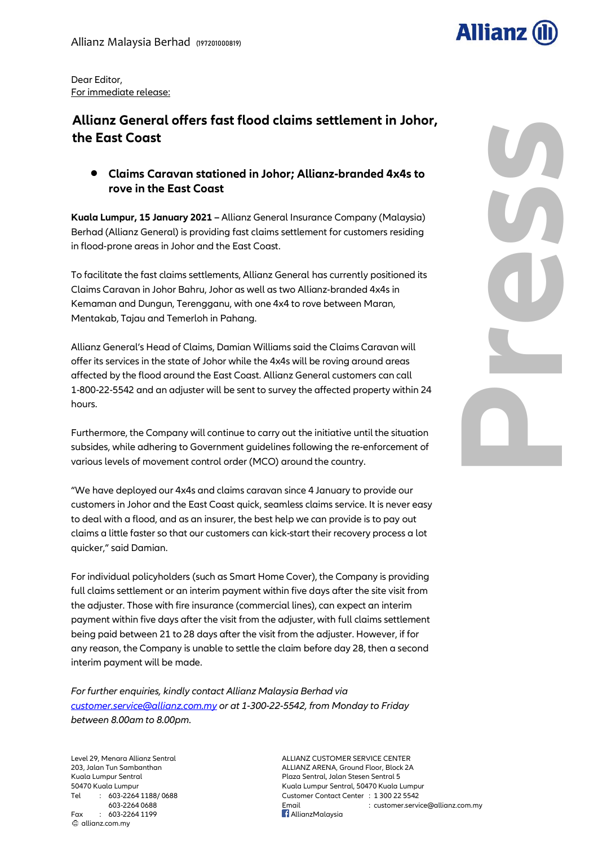

**Press**

Dear Editor, For immediate release:

## **Allianz General offers fast flood claims settlement in Johor, the East Coast**

 **Claims Caravan stationed in Johor; Allianz-branded 4x4s to rove in the East Coast** 

**Kuala Lumpur, 15 January 2021 –** Allianz General Insurance Company (Malaysia) Berhad (Allianz General) is providing fast claims settlement for customers residing in flood-prone areas in Johor and the East Coast.

To facilitate the fast claims settlements, Allianz General has currently positioned its Claims Caravan in Johor Bahru, Johor as well as two Allianz-branded 4x4s in Kemaman and Dungun, Terengganu, with one 4x4 to rove between Maran, Mentakab, Tajau and Temerloh in Pahang.

Allianz General's Head of Claims, Damian Williams said the Claims Caravan will offer its services in the state of Johor while the 4x4s will be roving around areas affected by the flood around the East Coast. Allianz General customers can call 1-800-22-5542 and an adjuster will be sent to survey the affected property within 24 hours.

Furthermore, the Company will continue to carry out the initiative until the situation subsides, while adhering to Government guidelines following the re-enforcement of various levels of movement control order (MCO) around the country.

"We have deployed our 4x4s and claims caravan since 4 January to provide our customers in Johor and the East Coast quick, seamless claims service. It is never easy to deal with a flood, and as an insurer, the best help we can provide is to pay out claims a little faster so that our customers can kick-start their recovery process a lot quicker," said Damian.

For individual policyholders (such as Smart Home Cover), the Company is providing full claims settlement or an interim payment within five days after the site visit from the adjuster. Those with fire insurance (commercial lines), can expect an interim payment within five days after the visit from the adjuster, with full claims settlement being paid between 21 to 28 days after the visit from the adjuster. However, if for any reason, the Company is unable to settle the claim before day 28, then a second interim payment will be made.

*For further enquiries, kindly contact Allianz Malaysia Berhad via [customer.service@allianz.com.my](mailto:customer.service@allianz.com.my) or at 1-300-22-5542, from Monday to Friday between 8.00am to 8.00pm.*

Level 29, Menara Allianz Sentral ALLIANZ CUSTOMER SERVICE CENTER Fax : 603-2264 1199 **Allianz Malaysia** allianz.com.my